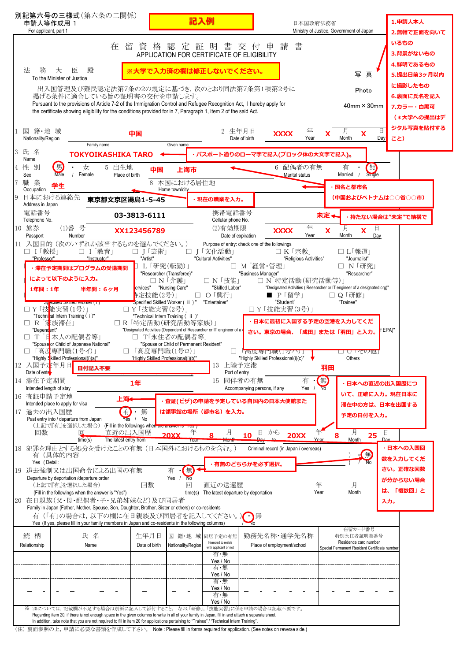| 別記第六号の三様式(第六条の二関係)<br>申請人等作成用 1<br>For applicant, part 1                                                                                                                                                                                                                                          | 記入例                                                                                                        |                                                                             | 日本国政府法務省<br>Ministry of Justice, Government of Japan                                |                                  |  |
|---------------------------------------------------------------------------------------------------------------------------------------------------------------------------------------------------------------------------------------------------------------------------------------------------|------------------------------------------------------------------------------------------------------------|-----------------------------------------------------------------------------|-------------------------------------------------------------------------------------|----------------------------------|--|
| 在<br>留                                                                                                                                                                                                                                                                                            | 資格認定証明<br>APPLICATION FOR CERTIFICATE OF ELIGIBILITY                                                       | 書 交 付 申 請<br>書                                                              |                                                                                     | 2.無帽で正面を向いて<br>いるもの<br>3.背景がないもの |  |
| 法<br>務<br>殿<br>大<br>臣<br>To the Minister of Justice                                                                                                                                                                                                                                               | ※大学で入力済の欄は修正しないでください。                                                                                      |                                                                             | 写真                                                                                  | 4.鮮明であるもの<br>5.提出日前3ヶ月以内         |  |
| 出入国管理及び難民認定法第7条の2の規定に基づき,次のとおり同法第7条第1項第2号に<br>掲げる条件に適合している旨の証明書の交付を申請します。                                                                                                                                                                                                                         |                                                                                                            |                                                                             | Photo                                                                               | に撮影したもの<br>6.裏面に氏名を記入            |  |
| Pursuant to the provisions of Article 7-2 of the Immigration Control and Refugee Recognition Act, I hereby apply for<br>the certificate showing eligibility for the conditions provided for in 7, Paragraph 1, Item 2 of the said Act.                                                            |                                                                                                            |                                                                             | $40$ mm $\times$ 30mm                                                               | 7.カラー・白黒可                        |  |
| 籍・地 域<br>国                                                                                                                                                                                                                                                                                        | 2 生年月日                                                                                                     | 年                                                                           | 日<br>月                                                                              | (*大学への提出はデ<br>ジタル写真を貼付する         |  |
| 中国<br>Nationality/Region<br>Family name                                                                                                                                                                                                                                                           | Given name                                                                                                 | <b>XXXX</b><br>Year<br>Date of birth                                        | X<br>X<br>Month<br>Day                                                              | こと)                              |  |
| 氏名<br><b>TOKYOIKASHIKA TARO</b><br>Name                                                                                                                                                                                                                                                           |                                                                                                            | ・パスポート通りのローマ字で記入(ブロック体の大文字で記入)。                                             |                                                                                     |                                  |  |
| 男<br>性<br>別<br>女<br>5 出生地<br>Male<br>Female<br>Place of birth<br>Sex<br>職 業                                                                                                                                                                                                                       | 上海市<br>中国<br>本国における居住地                                                                                     | 6 配偶者の有無<br>Marital status                                                  | 無<br>Single<br>有<br>Married                                                         |                                  |  |
| 学生<br>Occupation<br>日本における連絡先<br>東京都文京区湯島1-5-45                                                                                                                                                                                                                                                   | Home town/city<br>現在の職業を入力。                                                                                |                                                                             | 国名と都市名<br>(中国およびベトナムは○○省○○市)                                                        |                                  |  |
| Address in Japan<br>電話番号<br>03-3813-6111                                                                                                                                                                                                                                                          | 携帯電話番号                                                                                                     |                                                                             | 未定←<br>・持たない場合は"未定"で結構で                                                             |                                  |  |
| Telephone No.<br>10 旅券<br>(1)番号<br>XX123456789                                                                                                                                                                                                                                                    | Cellular phone No.<br>(2)有効期限                                                                              | 年<br><b>XXXX</b>                                                            | 日<br>$\boldsymbol{\mathsf{X}}$<br>X                                                 |                                  |  |
| Number<br>Passport<br>11 入国目的 (次のいずれか該当するものを選んでください。)<br>□ Ⅰ 教授1                                                                                                                                                                                                                                  |                                                                                                            | Year<br>Date of expiration<br>Purpose of entry: check one of the followings | Month<br>Day                                                                        |                                  |  |
| □ Ⅰ「教育」<br>"Instructor"<br>"Professor"<br>"Artist"                                                                                                                                                                                                                                                | □ J「芸術」<br>I「文化活動」<br>"Cultural Activities"<br>L「研究(転勤)」<br>$\Box$                                         | □ K「宗教」<br>"Religious Activities"<br>M「経営・管理」                               | □ L「報道」<br>"Journalist"<br>□ N「研究」                                                  |                                  |  |
| · 滞在予定期間はプログラムの受講期間<br>によって以下のように入力。                                                                                                                                                                                                                                                              | "Researcher (Transferee)"<br>□ N 「技能」<br>□ N 「介護」                                                          | "Business Manager"<br>□ N 特定活動(研究活動等)」                                      | "Researcher"                                                                        |                                  |  |
| 1年間: 1年<br>半年間:6ヶ月                                                                                                                                                                                                                                                                                | ervices" "Nursing Care"<br>"Skilled Labor"<br>序定技能(2号)」<br>O「興行」<br>⊔                                      | <b>■ P「留学」</b>                                                              | "Designated Activities (Researcher or IT engineer of a designated org)"<br>□ Q 「研修」 |                                  |  |
| <b>DI ecilied Skilled Molker (1)</b><br>Y「技 <mark>能実習(1号)」</mark><br>"Techninal Intern Training (i)"                                                                                                                                                                                              | Specified Skilled Worker ( ii ) "<br>"Entertainer"<br>□ Y「技能実習(2号)」<br>"Technical Intern Training ( ii )"  | "Student"<br>□ Y「技能実習(3号)」                                                  | "Trainee"                                                                           |                                  |  |
| R「家族滞在」<br>"Dependent"                                                                                                                                                                                                                                                                            | □ R 「特定活動(研究活動等家族)」<br>"Designated Activities (Dependent of Researcher or IT engineer of a                 | 日本に最初に入国する予定の空港を入力してくだ<br>さい。東京の場合、「成田」または「羽田」と入力。                          |                                                                                     | EPA)"                            |  |
| T「E 本人の配偶者等」<br>"Spouse or Child of Japanese National"<br>「高度専門職(1号イ)」                                                                                                                                                                                                                            | T「永住者の配偶者等」<br>"Spouse or Child of Permanent Resident"<br>「高度専門職(1号ロ)」<br>$\Box$                           | 「向皮导门職(1万/1)」                                                               | □ ∪ での他                                                                             |                                  |  |
| "Highly Skilled Professional(i)(a)"<br>12 入国予定年月日<br>日付記入不要                                                                                                                                                                                                                                       | "Highly Skilled Professional(i)(b)"<br>13                                                                  | "Highly Skilled Professional(i)(c)"<br>上陸予定港                                | Others<br>羽田                                                                        |                                  |  |
| Date of entre<br>14 滞在予定期間<br>1年<br>Intended length of stay                                                                                                                                                                                                                                       | Port of entry<br>15 同伴者の有無                                                                                 | 有<br>Yes                                                                    | 無<br>日本への直近の出入国歴につ<br><b>No</b>                                                     |                                  |  |
| 16 查証申請予定地<br>上海<br>Intended place to apply for visa                                                                                                                                                                                                                                              | 査証(ビザ)の申請を予定している自国内の日本大使館また                                                                                | Accompanying persons, if any                                                | いて、正確に入力。現在日本に<br>滞在中の方は、日本を出国する                                                    |                                  |  |
| 有<br>無<br>過去の出入国歴<br>17<br>No<br>Past entry into / departure from Japan<br>Yes                                                                                                                                                                                                                    | は領事館の場所 (都市名) を入力。                                                                                         |                                                                             | 予定の日付を入力。                                                                           |                                  |  |
| (上記で『有』を選択した場合) (Fill in the followings when the answer is res )<br>回数<br>直近の出入国歴<br>l¤l                                                                                                                                                                                                          | 年<br>月<br>20XX                                                                                             | 年<br>から<br>日<br>10<br><b>20XX</b>                                           | 月<br>日<br>25                                                                        |                                  |  |
| time(s)<br>The latest entry from<br>18 犯罪を理由とする処分を受けたことの有無 (日本国外におけるものを含む。)<br>有(具体的内容                                                                                                                                                                                                            | rear                                                                                                       | Year<br>Criminal record (in Japan / overseas)                               | Month<br>Day<br>無                                                                   | 日本への入国回                          |  |
| Yes (Detail:<br>退去強制又は出国命令による出国の有無<br>-19                                                                                                                                                                                                                                                         | 無<br>有                                                                                                     | 有無のどちらかを必ず選択。                                                               | Nο                                                                                  | 数を入力してくだ<br>さい。正確な回数             |  |
| Departure by deportation /departure order<br>(上記で『有』を選択した場合)<br>回数                                                                                                                                                                                                                                | Yes $/$<br><b>NO</b><br>直近の送還歴<br>回                                                                        | 年                                                                           | 月                                                                                   | が分からない場合<br>「複数回」と               |  |
| (Fill in the followings when the answer is "Yes")<br>在日親族(父・母・配偶者・子・兄弟姉妹など)及び同居者<br>20<br>Family in Japan (Father, Mother, Spouse, Son, Daughter, Brother, Sister or others) or co-residents                                                                                                      | The latest departure by deportation<br>time(s)                                                             | Year                                                                        | は、<br>Month                                                                         | 入力。                              |  |
| 有(「有」の場合は、以下の欄に在日親族及び同居者を記入してください。)<br>Yes (If yes, please fill in your family members in Japan and co-residents in the following columns)                                                                                                                                                        |                                                                                                            | 無<br>$\neg$ No                                                              |                                                                                     |                                  |  |
| 続 柄<br>生年月日<br>氏 名                                                                                                                                                                                                                                                                                | 国 籍・地 域 同居予定の有無                                                                                            | 勤務先名称·通学先名称                                                                 | 在留カード番号<br>特別永住者証明書番号                                                               |                                  |  |
| Relationship<br>Name                                                                                                                                                                                                                                                                              | Intended to reside<br>Date of birth<br>Nationality/Region<br>with applicant or not<br>有・無                  | Place of employment/school                                                  | Residence card number<br>Special Permanent Resident Certificate number              |                                  |  |
|                                                                                                                                                                                                                                                                                                   | Yes / No<br>有・無<br>Yes / No                                                                                |                                                                             |                                                                                     |                                  |  |
|                                                                                                                                                                                                                                                                                                   | 有・無<br>Yes / No                                                                                            |                                                                             |                                                                                     |                                  |  |
| ※ 20については、記載欄が不足する場合は別紙に記入して添付すること。なお,「研修」,「技能実習」に係る申請の場合は記載不要です。                                                                                                                                                                                                                                 | 有・無<br>Yes / No                                                                                            |                                                                             |                                                                                     |                                  |  |
| Regarding item 20, if there is not enough space in the given columns to write in all of your family in Japan, fill in and attach a separate sheet.<br>In addition, take note that you are not required to fill in item 20 for applications pertaining to "Trainee" / "Technical Intern Training". | (注) 車面参照の上 由請に必要か書類を作成して下さい Note: Please fill in forms required for annication (See notes on reverse side) |                                                                             |                                                                                     |                                  |  |

(注) 裏面参照の上,申請に必要な書類を作成して下さい。 Note : Please fill in forms required for application. (See notes on reverse side.)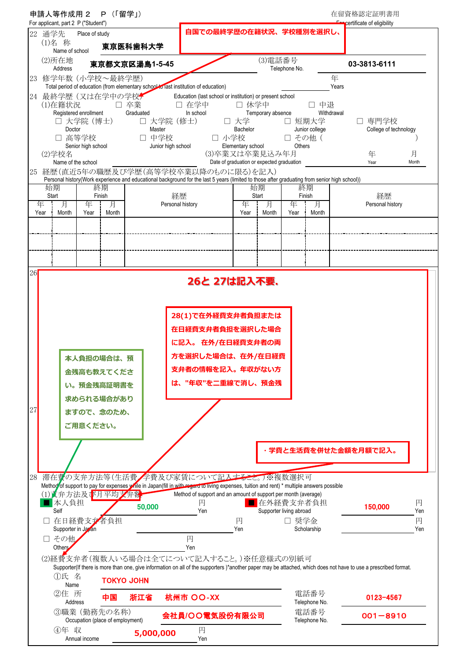|                   | 申請人等作成用 2                                                                                           | P(「留学」)      |                                      |                                                                                                                                                                                      |                                                                           |                         |                             |                       | 在留資格認定証明書用                                                                                                                                                     |
|-------------------|-----------------------------------------------------------------------------------------------------|--------------|--------------------------------------|--------------------------------------------------------------------------------------------------------------------------------------------------------------------------------------|---------------------------------------------------------------------------|-------------------------|-----------------------------|-----------------------|----------------------------------------------------------------------------------------------------------------------------------------------------------------|
| 22 通学先            | For applicant, part 2 P ("Student")<br>Place of study                                               |              |                                      | 自国での最終学歴の在籍状況、学校種別を選択し、                                                                                                                                                              |                                                                           |                         |                             |                       | certificate of eligibility                                                                                                                                     |
| (1)名 称            | Name of school                                                                                      |              | 東京医科歯科大学                             |                                                                                                                                                                                      |                                                                           |                         |                             |                       |                                                                                                                                                                |
| (2)所在地            | Address                                                                                             |              | 東京都文京区湯島1-5-45                       |                                                                                                                                                                                      |                                                                           | (3)電話番号                 | Telephone No.               |                       | 03-3813-6111                                                                                                                                                   |
| 23                | 修学年数 (小学校~最終学歴)                                                                                     |              |                                      | Total period of education (from elementary school to last institution of education)                                                                                                  |                                                                           |                         |                             |                       | 年<br>Years                                                                                                                                                     |
| (1)在籍状況<br>(2)学校名 | 24 最終学歴 (又は在学中の学校ナ<br>Registered enrollment<br>□ 大学院 (博士)<br>Doctor<br>□ 高等学校<br>Senior high school |              | □ 卒業<br>Graduated<br>Master<br>□ 中学校 | Education (last school or institution) or present school<br>□ 在学中<br>In school<br>口 大学院 (修士)<br>Junior high school                                                                   | □ 休学中<br>□ 大学<br>Bachelor<br>□ 小学校<br>Elementary school<br>(3)卒業又は卒業見込み年月 | Temporary absence       | □ 短期大学<br>□ その他 (<br>Others | 中退<br>Junior college  | Withdrawal<br>□ 専門学校<br>College of technology<br>月<br>年                                                                                                        |
| 25                | Name of the school                                                                                  |              |                                      | 経歴(直近5年の職歴及び学歴(高等学校卒業以降のものに限る)を記入)                                                                                                                                                   | Date of graduation or expected graduation                                 |                         |                             |                       | Year<br>Month                                                                                                                                                  |
|                   |                                                                                                     |              |                                      | Personal history(Work experience and educational background for the last 5 years (limited to those after graduating from senior high school))                                        |                                                                           |                         |                             |                       |                                                                                                                                                                |
| 始期<br>Start       |                                                                                                     | 終期<br>Finish |                                      | 経歴                                                                                                                                                                                   | 始期<br>Start                                                               |                         |                             | 終期<br>Finish          | 経歴                                                                                                                                                             |
| 年<br>Year         | 月<br>年<br>Month<br>Year                                                                             | 月<br>Month   |                                      | Personal history                                                                                                                                                                     |                                                                           | 月<br>Month<br>÷         | 年<br>Year                   | 月<br>Month            | Personal history                                                                                                                                               |
|                   |                                                                                                     |              |                                      |                                                                                                                                                                                      |                                                                           |                         |                             |                       |                                                                                                                                                                |
|                   |                                                                                                     |              |                                      |                                                                                                                                                                                      |                                                                           |                         |                             |                       |                                                                                                                                                                |
|                   |                                                                                                     |              |                                      |                                                                                                                                                                                      |                                                                           |                         |                             |                       |                                                                                                                                                                |
| 26                |                                                                                                     |              |                                      |                                                                                                                                                                                      | 26と 27は記入不要.                                                              |                         |                             |                       |                                                                                                                                                                |
| 27                | 本人負担の場合は、預<br>金残高も教えてくださ<br>い。預金残高証明書を<br>求められる場合があり<br>ますので、念のため、<br>ご用意ください。                      |              |                                      | 方を選択した場合は、在外/在日経費<br>支弁者の情報を記入。年収がない方<br>は、"年収"を二重線で消し、預金残                                                                                                                           |                                                                           |                         |                             |                       |                                                                                                                                                                |
|                   |                                                                                                     |              |                                      |                                                                                                                                                                                      |                                                                           |                         |                             |                       | 学費と生活費を併せた金額を月額で記入。                                                                                                                                            |
|                   |                                                                                                     |              |                                      |                                                                                                                                                                                      |                                                                           |                         |                             |                       |                                                                                                                                                                |
| 28                |                                                                                                     |              |                                      | 滞在費の支弁方法等(生活費/学費及び家賃について記入すること。)※複数選択可<br>Method of support to pay for expenses while in Japan(fill in with regard to living expenses, tuition and rent) * multiple answers possible |                                                                           |                         |                             |                       |                                                                                                                                                                |
|                   | (1) 女弁方法及び月平均文弁密<br>本人負担                                                                            |              |                                      | Method of support and an amount of support per month (average)<br>円                                                                                                                  |                                                                           | ■在外経費支弁者負担              |                             |                       | 円                                                                                                                                                              |
| Self              | 在日経費支拿者負担                                                                                           |              | 50,000                               | Yen                                                                                                                                                                                  | 円                                                                         | Supporter living abroad | □ 奨学金                       |                       | 150,000<br>Yen<br>円                                                                                                                                            |
| □ その他             | Supporter in Japan                                                                                  |              |                                      | 円                                                                                                                                                                                    | Yen                                                                       |                         |                             | Scholarship           | Yen                                                                                                                                                            |
| Others            |                                                                                                     |              |                                      | Yen<br>(2)経費支弁者(複数人いる場合は全てについて記入すること。)※任意様式の別紙可                                                                                                                                      |                                                                           |                         |                             |                       | Supporter(If there is more than one, give information on all of the supporters)*another paper may be attached, which does not have to use a prescribed format. |
|                   | ①氏 名                                                                                                |              | <b>TOKYO JOHN</b>                    |                                                                                                                                                                                      |                                                                           |                         |                             |                       |                                                                                                                                                                |
|                   |                                                                                                     |              |                                      |                                                                                                                                                                                      |                                                                           |                         |                             |                       |                                                                                                                                                                |
|                   | Name<br>②住 所<br>Address                                                                             | 中国           | 浙江省                                  | 杭州市 OO-XX                                                                                                                                                                            |                                                                           |                         |                             | 電話番号<br>Telephone No. | 0123-4567                                                                                                                                                      |
|                   | ③職業 (勤務先の名称)<br>Occupation (place of employment)                                                    |              |                                      | 会社員/〇〇電気股份有限公司                                                                                                                                                                       |                                                                           |                         |                             | 電話番号<br>Telephone No. | $001 - 8910$                                                                                                                                                   |